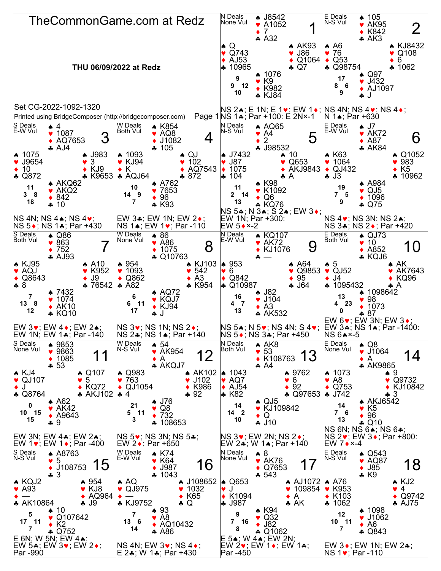